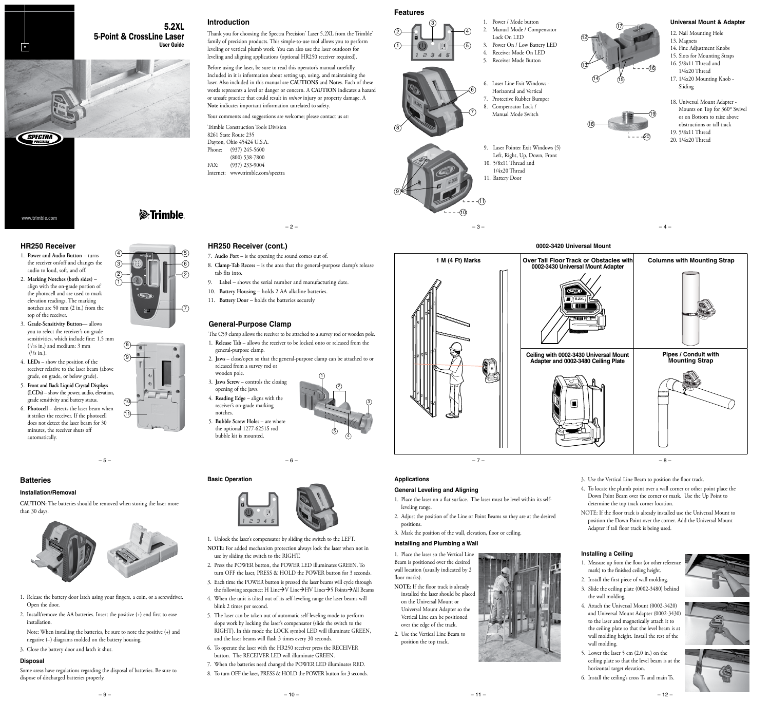# 5-Point & CrossLine Laser



User Guide

**Introduction** Thank you for choosing the Spectra Precision® Laser 5.2XL from the Trimble® family of precision products. This simple-to-use tool allows you to perform

leveling or vertical plumb work. You can also use the laser outdoors for leveling and aligning applications (optional HR250 receiver required). Before using the laser, be sure to read this operator's manual carefully. Included in it is information about setting up, using, and maintaining the

laser. Also included in this manual are **CAUTIONS** and **Notes**. Each of these words represents a level or danger or concern. A **CAUTION** indicates a hazard or unsafe practice that could result in *minor* injury or property damage. A **Note** indicates important information unrelated to safety.

 $-2-$ 

8. **Clamp-Tab Recess** – is the area that the general-purpose clamp's release

The C59 clamp allows the receiver to be attached to a survey rod or wooden pole. 1. **Release Tab** – allows the receiver to be locked onto or released from the

2. **Jaws** – close/open so that the general-purpose clamp can be attached to or

1

2

5 4

Your comments and suggestions are welcome; please contact us at:

Trimble Construction Tools Division 8261 State Route 235 Dayton, Ohio 45424 U.S.A. Phone: (937) 245-5600 (800) 538-7800 FAX: (937) 233-9004 Internet: www.trimble.com/spectra

**HR250 Receiver (cont.)**

**General-Purpose Clamp**

general-purpose clamp.

wooden pole.

notches.

released from a survey rod or

3. **Jaws Screw** – controls the closing/ opening of the jaws. 4. **Reading Edge** – aligns with the receiver's on-grade marking

tab fits into.

7. **Audio Port** – is the opening the sound comes out of.

9. **Label** – shows the serial number and manufacturing date. 10. **Battery Housing** – holds 2 AA alkaline batteries. 11. **Battery Door** – holds the batteries securely

# *S*-Trimble

5

#### **HR250 Receiver** 1. **Power and Audio Button** – turns

www.trimble.com

SPECTRA

•

- the receiver on/off and changes the audio to loud, soft, and off.
- 2. **Marking Notches (both sides)** align with the on-grade portion of the photocell and are used to mark elevation readings. The marking notches are 50 mm (2 in.) from the top of the receiver.
- 3. **Grade-Sensitivity Button** allows you to select the receiver's on-grade sensitivities, which include fine: 1.5 mm (1/16 in.) and medium: 3 mm (1/8 in.).
- 4. **LEDs** show the position of the receiver relative to the laser beam (above grade, on grade, or below grade).
- 5. **Front and Back Liquid Crystal Displays (LCDs)** – show the power, audio, elevation, grade sensitivity and battery status.
- 6. **Photocell** detects the laser beam when it strikes the receiver. If the photocell does not detect the laser beam for 30 minutes, the receiver shuts off automatically.



## **Installation/Removal**

**CAUTION:** The batteries should be removed when storing the laser more than 30 days.

– 5 –



- 1. Release the battery door latch using your fingers, a coin, or a screwdriver. Open the door.
- 2. Install/remove the AA batteries. Insert the positive (+) end first to ease installation.
- Note: When installing the batteries, be sure to note the positive (+) and negative (–) diagrams molded on the battery housing.
- 3. Close the battery door and latch it shut.

# **Disposal**

Some areas have regulations regarding the disposal of batteries. Be sure to dispose of discharged batteries properly.

2 2  $3)$   $(6)$ 7

# 8 9





#### **Basic Operation**



– 6 –

1. Unlock the laser's compensator by sliding the switch to the LEFT.

- **NOTE:** For added mechanism protection always lock the laser when not in use by sliding the switch to the RIGHT.
- 2. Press the POWER button, the POWER LED illuminates GREEN. To turn OFF the laser, PRESS & HOLD the POWER button for 3 seconds.
- 3. Each time the POWER button is pressed the laser beams will cycle through the following sequence: H Line $\rightarrow$ V Line $\rightarrow$ HV Lines $\rightarrow$ 5 Points $\rightarrow$ All Beams
- 4. When the unit is tilted out of its self-leveling range the laser beams will blink 2 times per second.
- 5. The laser can be taken out of automatic self-leveling mode to perform slope work by locking the laser's compensator (slide the switch to the RIGHT). In this mode the LOCK symbol LED will illuminate GREEN, and the laser beams will flash 3 times every 30 seconds.
- 6. To operate the laser with the HR250 receiver press the RECEIVER button. The RECEIVER LED will illuminate GREEN.
- 7. When the batteries need changed the POWER LED illuminates RED. 8. To turn OFF the laser, PRESS & HOLD the POWER button for 3 seconds.

 $-10-$ 

2 4

1

8

9

**Features**

3



6. Laser Line Exit Windows - Horizontal and Vertical 7. Protective Rubber Bumper Compensator Lock / Manual Mode Switch

9. Laser Pointer Exit Windows (5) Left, Right, Up, Down, Front

10. 5/8x11 Thread and 1/4x20 Thread 11. Battery Door

6

7

10

11

5. Receiver Mode Button





18. Universal Mount Adapter - Mounts on Top for 360º Swivel or on Bottom to raise above obstructions or tall track 19. 5/8x11 Thread 20. 1/4x20 Thread

**Universal Mount & Adapter**

12. Nail Mounting Hole 13. Magnets

Sliding

16

14. Fine Adjustment Knobs 15. Slots for Mounting Straps 16. 5/8x11 Thread and 1/4x20 Thread 17. 1/4x20 Mounting Knob -



 $-3-$ 



- 3. Use the Vertical Line Beam to position the floor track.
- 4. To locate the plumb point over a wall corner or other point place the Down Point Beam over the corner or mark. Use the Up Point to determine the top track corner location.
- NOTE: If the floor track is already installed use the Universal Mount to position the Down Point over the corner. Add the Universal Mount Adapter if tall floor track is being used.

#### **Installing a Ceiling**

- 1. Measure up from the floor (or other reference mark) to the finished ceiling height.
- 2. Install the first piece of wall molding. 3. Slide the ceiling plate (0002-3480) behind
- the wall molding. 4. Attach the Universal Mount (0002-3420) and Universal Mount Adapter (0002-3430) to the laser and magnetically attach it to the ceiling plate so that the level beam is at wall molding height. Install the rest of the wall molding.
- 5. Lower the laser 5 cm (2.0 in.) on the ceiling plate so that the level beam is at the horizontal target elevation.
- 6. Install the ceiling's cross Ts and main Ts.





– 9 –



3

**Applications**

leveling range.

positions.

floor marks).

**General Leveling and Aligning**

**Installing and Plumbing a Wall** 1. Place the laser so the Vertical Line Beam is positioned over the desired wall location (usually indicated by 2

**NOTE:** If the floor track is already installed the laser should be placed on the Universal Mount or Universal Mount Adapter so the Vertical Line can be positioned over the edge of the track. 2. Use the Vertical Line Beam to position the top track.

1. Place the laser on a flat surface. The laser must be level within its self-

2. Adjust the position of the Line or Point Beams so they are at the desired

3. Mark the position of the wall, elevation, floor or ceiling.

 $-11-$ 

 $-12-$ 







1

4